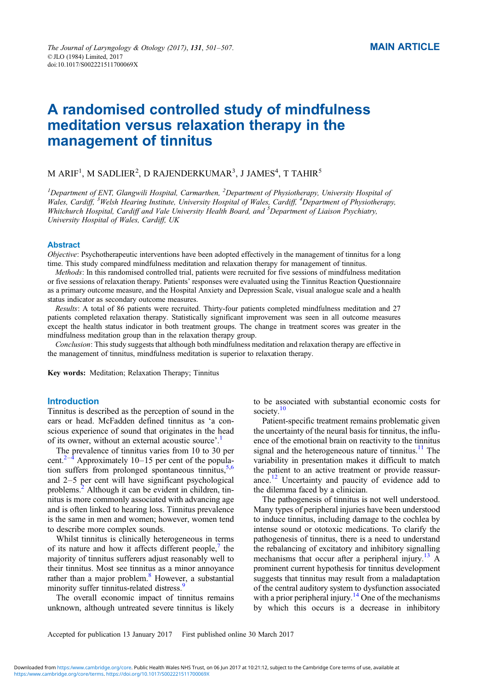# A randomised controlled study of mindfulness meditation versus relaxation therapy in the management of tinnitus

## M ARIF $^1$ , M SADLIER $^2$ , D RAJENDERKUMAR $^3$ , J JAMES $^4$ , T TAHIR $^5$

<sup>1</sup>Department of ENT, Glangwili Hospital, Carmarthen, <sup>2</sup>Department of Physiotherapy, University Hospital of Wales, Cardiff, <sup>3</sup>Welsh Hearing Institute, University Hospital of Wales, Cardiff, <sup>4</sup>Department of Physiotherapy, Whitchurch Hospital, Cardiff and Vale University Health Board, and <sup>5</sup>Department of Liaison Psychiatry, University Hospital of Wales, Cardiff, UK

#### Abstract

Objective: Psychotherapeutic interventions have been adopted effectively in the management of tinnitus for a long time. This study compared mindfulness meditation and relaxation therapy for management of tinnitus.

Methods: In this randomised controlled trial, patients were recruited for five sessions of mindfulness meditation or five sessions of relaxation therapy. Patients' responses were evaluated using the Tinnitus Reaction Questionnaire as a primary outcome measure, and the Hospital Anxiety and Depression Scale, visual analogue scale and a health status indicator as secondary outcome measures.

Results: A total of 86 patients were recruited. Thirty-four patients completed mindfulness meditation and 27 patients completed relaxation therapy. Statistically significant improvement was seen in all outcome measures except the health status indicator in both treatment groups. The change in treatment scores was greater in the mindfulness meditation group than in the relaxation therapy group.

Conclusion: This study suggests that although both mindfulness meditation and relaxation therapy are effective in the management of tinnitus, mindfulness meditation is superior to relaxation therapy.

Key words: Meditation; Relaxation Therapy; Tinnitus

#### Introduction

Tinnitus is described as the perception of sound in the ears or head. McFadden defined tinnitus as 'a conscious experience of sound that originates in the head of its owner, without an external acoustic source'.<sup>[1](#page-5-0)</sup>

The prevalence of tinnitus varies from 10 to 30 per cent.<sup>[2](#page-5-0)–[4](#page-6-0)</sup> Approximately 10–15 per cent of the population suffers from prolonged spontaneous tinnitus,  $5.6$ and 2–5 per cent will have significant psychological problems[.2](#page-5-0) Although it can be evident in children, tinnitus is more commonly associated with advancing age and is often linked to hearing loss. Tinnitus prevalence is the same in men and women; however, women tend to describe more complex sounds.

Whilst tinnitus is clinically heterogeneous in terms of its nature and how it affects different people, $\frac{7}{1}$  $\frac{7}{1}$  $\frac{7}{1}$  the majority of tinnitus sufferers adjust reasonably well to their tinnitus. Most see tinnitus as a minor annoyance rather than a major problem. $8$  However, a substantial minority suffer tinnitus-related distress.<sup>9</sup>

The overall economic impact of tinnitus remains unknown, although untreated severe tinnitus is likely

to be associated with substantial economic costs for society. $10$ 

Patient-specific treatment remains problematic given the uncertainty of the neural basis for tinnitus, the influence of the emotional brain on reactivity to the tinnitus signal and the heterogeneous nature of tinnitus.<sup>[11](#page-6-0)</sup> The variability in presentation makes it difficult to match the patient to an active treatment or provide reassurance.<sup>12</sup> Uncertainty and paucity of evidence add to the dilemma faced by a clinician.

The pathogenesis of tinnitus is not well understood. Many types of peripheral injuries have been understood to induce tinnitus, including damage to the cochlea by intense sound or ototoxic medications. To clarify the pathogenesis of tinnitus, there is a need to understand the rebalancing of excitatory and inhibitory signalling mechanisms that occur after a peripheral injury. $^{13}$  A prominent current hypothesis for tinnitus development suggests that tinnitus may result from a maladaptation of the central auditory system to dysfunction associated with a prior peripheral injury.<sup>14</sup> One of the mechanisms by which this occurs is a decrease in inhibitory

Accepted for publication 13 January 2017 First published online 30 March 2017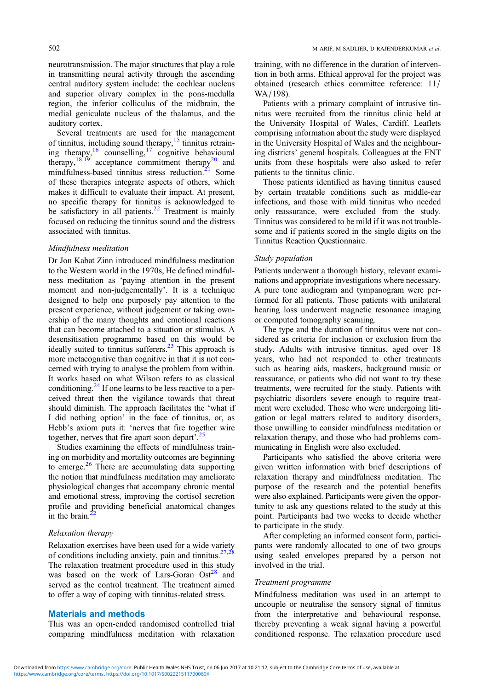neurotransmission. The major structures that play a role in transmitting neural activity through the ascending central auditory system include: the cochlear nucleus and superior olivary complex in the pons-medulla region, the inferior colliculus of the midbrain, the medial geniculate nucleus of the thalamus, and the auditory cortex.

Several treatments are used for the management of tinnitus, including sound therapy,<sup>15</sup> tinnitus retraining therapy,  $16$  counselling,  $17$  cognitive behavioural therapy,  $18,19$  acceptance commitment therapy<sup>20</sup> and mindfulness-based tinnitus stress reduction.<sup>21</sup> Some of these therapies integrate aspects of others, which makes it difficult to evaluate their impact. At present, no specific therapy for tinnitus is acknowledged to be satisfactory in all patients. $2^2$  Treatment is mainly focused on reducing the tinnitus sound and the distress associated with tinnitus.

#### Mindfulness meditation

Dr Jon Kabat Zinn introduced mindfulness meditation to the Western world in the 1970s, He defined mindfulness meditation as 'paying attention in the present moment and non-judgementally'. It is a technique designed to help one purposely pay attention to the present experience, without judgement or taking ownership of the many thoughts and emotional reactions that can become attached to a situation or stimulus. A desensitisation programme based on this would be ideally suited to tinnitus sufferers.<sup>23</sup> This approach is more metacognitive than cognitive in that it is not concerned with trying to analyse the problem from within. It works based on what Wilson refers to as classical conditioning.<sup>[24](#page-6-0)</sup> If one learns to be less reactive to a perceived threat then the vigilance towards that threat should diminish. The approach facilitates the 'what if I did nothing option' in the face of tinnitus, or, as Hebb's axiom puts it: 'nerves that fire together wire together, nerves that fire apart soon depart<sup>7.[25](#page-6-0)</sup>

Studies examining the effects of mindfulness training on morbidity and mortality outcomes are beginning to emerge. $26$  There are accumulating data supporting the notion that mindfulness meditation may ameliorate physiological changes that accompany chronic mental and emotional stress, improving the cortisol secretion profile and providing beneficial anatomical changes in the brain. $\frac{1}{2}$ 

## Relaxation therapy

Relaxation exercises have been used for a wide variety of conditions including anxiety, pain and tinnitus.<sup>[27,28](#page-6-0)</sup> The relaxation treatment procedure used in this study was based on the work of Lars-Goran  $Ost^{28}$  and served as the control treatment. The treatment aimed to offer a way of coping with tinnitus-related stress.

## Materials and methods

This was an open-ended randomised controlled trial comparing mindfulness meditation with relaxation

training, with no difference in the duration of intervention in both arms. Ethical approval for the project was obtained (research ethics committee reference: 11/ WA/198).

Patients with a primary complaint of intrusive tinnitus were recruited from the tinnitus clinic held at the University Hospital of Wales, Cardiff. Leaflets comprising information about the study were displayed in the University Hospital of Wales and the neighbouring districts' general hospitals. Colleagues at the ENT units from these hospitals were also asked to refer patients to the tinnitus clinic.

Those patients identified as having tinnitus caused by certain treatable conditions such as middle-ear infections, and those with mild tinnitus who needed only reassurance, were excluded from the study. Tinnitus was considered to be mild if it was not troublesome and if patients scored in the single digits on the Tinnitus Reaction Questionnaire.

#### Study population

Patients underwent a thorough history, relevant examinations and appropriate investigations where necessary. A pure tone audiogram and tympanogram were performed for all patients. Those patients with unilateral hearing loss underwent magnetic resonance imaging or computed tomography scanning.

The type and the duration of tinnitus were not considered as criteria for inclusion or exclusion from the study. Adults with intrusive tinnitus, aged over 18 years, who had not responded to other treatments such as hearing aids, maskers, background music or reassurance, or patients who did not want to try these treatments, were recruited for the study. Patients with psychiatric disorders severe enough to require treatment were excluded. Those who were undergoing litigation or legal matters related to auditory disorders, those unwilling to consider mindfulness meditation or relaxation therapy, and those who had problems communicating in English were also excluded.

Participants who satisfied the above criteria were given written information with brief descriptions of relaxation therapy and mindfulness meditation. The purpose of the research and the potential benefits were also explained. Participants were given the opportunity to ask any questions related to the study at this point. Participants had two weeks to decide whether to participate in the study.

After completing an informed consent form, participants were randomly allocated to one of two groups using sealed envelopes prepared by a person not involved in the trial.

#### Treatment programme

Mindfulness meditation was used in an attempt to uncouple or neutralise the sensory signal of tinnitus from the interpretative and behavioural response, thereby preventing a weak signal having a powerful conditioned response. The relaxation procedure used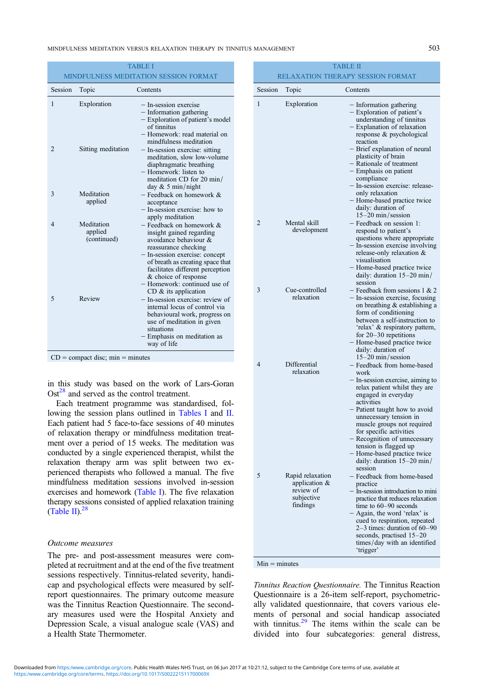## MINDFULNESS MEDITATION VERSUS RELAXATION THERAPY IN TINNITUS MANAGEMENT 503

| <b>TABLE I</b>                               |                                      |                                                                                                                                                                                                                                                                                                        |  |  |  |  |  |
|----------------------------------------------|--------------------------------------|--------------------------------------------------------------------------------------------------------------------------------------------------------------------------------------------------------------------------------------------------------------------------------------------------------|--|--|--|--|--|
| <b>MINDFULNESS MEDITATION SESSION FORMAT</b> |                                      |                                                                                                                                                                                                                                                                                                        |  |  |  |  |  |
| Session                                      | Topic                                | Contents                                                                                                                                                                                                                                                                                               |  |  |  |  |  |
| 1                                            | Exploration                          | $-$ In-session exercise<br>- Information gathering<br>- Exploration of patient's model<br>of tinnitus<br>- Homework: read material on                                                                                                                                                                  |  |  |  |  |  |
| 2                                            | Sitting meditation                   | mindfulness meditation<br>- In-session exercise: sitting<br>meditation, slow low-volume<br>diaphragmatic breathing<br>- Homework: listen to<br>meditation CD for 20 min/<br>day $& 5$ min/night                                                                                                        |  |  |  |  |  |
| 3                                            | Meditation<br>applied                | $-$ Feedback on homework $\&$<br>acceptance<br>- In-session exercise: how to<br>apply meditation                                                                                                                                                                                                       |  |  |  |  |  |
| 4                                            | Meditation<br>applied<br>(continued) | $-$ Feedback on homework $\&$<br>insight gained regarding<br>avoidance behaviour &<br>reassurance checking<br>- In-session exercise: concept<br>of breath as creating space that<br>facilitates different perception<br>& choice of response<br>- Homework: continued use of<br>CD $&$ its application |  |  |  |  |  |
| 5                                            | Review                               | - In-session exercise: review of<br>internal locus of control via<br>behavioural work, progress on<br>use of meditation in given<br>situations<br>- Emphasis on meditation as<br>way of life                                                                                                           |  |  |  |  |  |

 $CD = compact disc; min = minutes$ 

in this study was based on the work of Lars-Goran  $\text{Ost}^{28}$  $\text{Ost}^{28}$  $\text{Ost}^{28}$  and served as the control treatment.

Each treatment programme was standardised, following the session plans outlined in Tables I and II. Each patient had 5 face-to-face sessions of 40 minutes of relaxation therapy or mindfulness meditation treatment over a period of 15 weeks. The meditation was conducted by a single experienced therapist, whilst the relaxation therapy arm was split between two experienced therapists who followed a manual. The five mindfulness meditation sessions involved in-session exercises and homework (Table I). The five relaxation therapy sessions consisted of applied relaxation training (Table II). $^{28}$  $^{28}$  $^{28}$ 

#### Outcome measures

The pre- and post-assessment measures were completed at recruitment and at the end of the five treatment sessions respectively. Tinnitus-related severity, handicap and psychological effects were measured by selfreport questionnaires. The primary outcome measure was the Tinnitus Reaction Questionnaire. The secondary measures used were the Hospital Anxiety and Depression Scale, a visual analogue scale (VAS) and a Health State Thermometer.

| Session        | Topic                                                                       | Contents                                                                                                                                                                                                                                                                                                                                                                                          |
|----------------|-----------------------------------------------------------------------------|---------------------------------------------------------------------------------------------------------------------------------------------------------------------------------------------------------------------------------------------------------------------------------------------------------------------------------------------------------------------------------------------------|
| 1              | Exploration                                                                 | - Information gathering<br>- Exploration of patient's<br>understanding of tinnitus<br>- Explanation of relaxation<br>response & psychological<br>reaction<br>- Brief explanation of neural<br>plasticity of brain<br>- Rationale of treatment<br>- Emphasis on patient<br>compliance<br>- In-session exercise: release-<br>only relaxation<br>- Home-based practice twice<br>daily: duration of   |
| $\overline{2}$ | Mental skill<br>development                                                 | $15-20$ min/session<br>- Feedback on session 1:<br>respond to patient's<br>questions where appropriate<br>$-$ In-session exercise involving<br>release-only relaxation &<br>visualisation<br>- Home-based practice twice                                                                                                                                                                          |
|                |                                                                             | daily: duration $15-20$ min/<br>session                                                                                                                                                                                                                                                                                                                                                           |
| 3              | Cue-controlled<br>relaxation                                                | $-$ Feedback from sessions 1 & 2<br>- In-session exercise, focusing<br>on breathing & establishing a<br>form of conditioning<br>between a self-instruction to<br>'relax' & respiratory pattern,<br>for $20-30$ repetitions<br>- Home-based practice twice<br>daily: duration of<br>$15-20$ min/session                                                                                            |
| 4              | Differential<br>relaxation                                                  | - Feedback from home-based<br>work<br>- In-session exercise, aiming to<br>relax patient whilst they are<br>engaged in everyday<br>activities<br>- Patient taught how to avoid<br>unnecessary tension in<br>muscle groups not required<br>for specific activities<br>- Recognition of unnecessary<br>tension is flagged up<br>- Home-based practice twice<br>daily: duration 15-20 min/<br>session |
| 5              | Rapid relaxation<br>application $\&$<br>review of<br>subjective<br>findings | - Feedback from home-based<br>practice<br>- In-session introduction to mini<br>practice that reduces relaxation<br>time to 60-90 seconds<br>- Again, the word 'relax' is<br>cued to respiration, repeated<br>2–3 times: duration of $60-90$<br>seconds, practised 15–20<br>times/day with an identified<br>'trigger'                                                                              |

TABLE II RELAXATION THERAPY SESSION FORMAT

#### $Min = minutes$

Tinnitus Reaction Questionnaire. The Tinnitus Reaction Questionnaire is a 26-item self-report, psychometrically validated questionnaire, that covers various elements of personal and social handicap associated with tinnitus.<sup>29</sup> The items within the scale can be divided into four subcategories: general distress,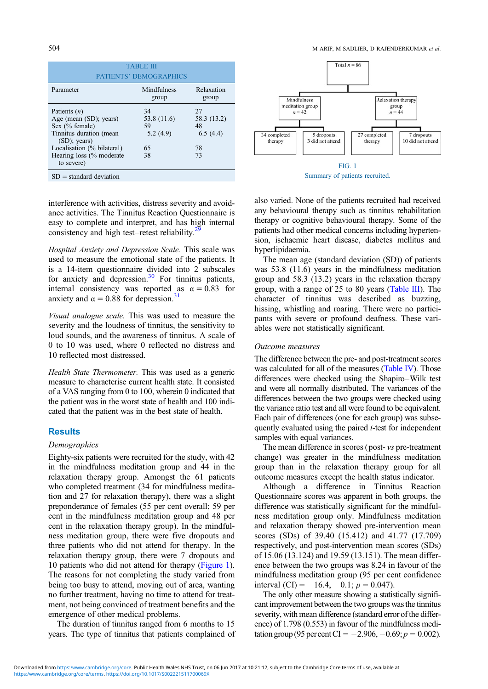| <b>TABLE III</b><br><b>PATIENTS' DEMOGRAPHICS</b>                                                                                                                                    |                                                 |                                                 |  |  |  |  |
|--------------------------------------------------------------------------------------------------------------------------------------------------------------------------------------|-------------------------------------------------|-------------------------------------------------|--|--|--|--|
| Parameter                                                                                                                                                                            | <b>Mindfulness</b><br>group                     | Relaxation<br>group                             |  |  |  |  |
| Patients $(n)$<br>Age (mean (SD); years)<br>Sex $(\%$ female)<br>Tinnitus duration (mean<br>$(SD)$ ; years)<br>Localisation (% bilateral)<br>Hearing loss (% moderate)<br>to severe) | 34<br>53.8 (11.6)<br>59<br>5.2(4.9)<br>65<br>38 | 27<br>58.3 (13.2)<br>48<br>6.5(4.4)<br>78<br>73 |  |  |  |  |
| $SD = standard deviation$                                                                                                                                                            |                                                 |                                                 |  |  |  |  |



Summary of patients recruited.

interference with activities, distress severity and avoidance activities. The Tinnitus Reaction Questionnaire is easy to complete and interpret, and has high internal consistency and high test–retest reliability.<sup>2</sup>

Hospital Anxiety and Depression Scale. This scale was used to measure the emotional state of the patients. It is a 14-item questionnaire divided into 2 subscales for anxiety and depression. $30$  For tinnitus patients, internal consistency was reported as  $\alpha = 0.83$  for anxiety and  $\alpha = 0.88$  for depression.<sup>31</sup>

Visual analogue scale. This was used to measure the severity and the loudness of tinnitus, the sensitivity to loud sounds, and the awareness of tinnitus. A scale of 0 to 10 was used, where 0 reflected no distress and 10 reflected most distressed.

Health State Thermometer. This was used as a generic measure to characterise current health state. It consisted of a VAS ranging from 0 to 100, wherein 0 indicated that the patient was in the worst state of health and 100 indicated that the patient was in the best state of health.

## **Results**

#### Demographics

Eighty-six patients were recruited for the study, with 42 in the mindfulness meditation group and 44 in the relaxation therapy group. Amongst the 61 patients who completed treatment (34 for mindfulness meditation and 27 for relaxation therapy), there was a slight preponderance of females (55 per cent overall; 59 per cent in the mindfulness meditation group and 48 per cent in the relaxation therapy group). In the mindfulness meditation group, there were five dropouts and three patients who did not attend for therapy. In the relaxation therapy group, there were 7 dropouts and 10 patients who did not attend for therapy (Figure 1). The reasons for not completing the study varied from being too busy to attend, moving out of area, wanting no further treatment, having no time to attend for treatment, not being convinced of treatment benefits and the emergence of other medical problems.

The duration of tinnitus ranged from 6 months to 15 years. The type of tinnitus that patients complained of also varied. None of the patients recruited had received any behavioural therapy such as tinnitus rehabilitation therapy or cognitive behavioural therapy. Some of the patients had other medical concerns including hypertension, ischaemic heart disease, diabetes mellitus and hyperlipidaemia.

The mean age (standard deviation (SD)) of patients was 53.8 (11.6) years in the mindfulness meditation group and 58.3 (13.2) years in the relaxation therapy group, with a range of 25 to 80 years (Table III). The character of tinnitus was described as buzzing, hissing, whistling and roaring. There were no participants with severe or profound deafness. These variables were not statistically significant.

#### Outcome measures

The difference between the pre- and post-treatment scores was calculated for all of the measures [\(Table IV\)](#page-4-0). Those differences were checked using the Shapiro–Wilk test and were all normally distributed. The variances of the differences between the two groups were checked using the variance ratio test and all were found to be equivalent. Each pair of differences (one for each group) was subsequently evaluated using the paired t-test for independent samples with equal variances.

The mean difference in scores (post- vs pre-treatment change) was greater in the mindfulness meditation group than in the relaxation therapy group for all outcome measures except the health status indicator.

Although a difference in Tinnitus Reaction Questionnaire scores was apparent in both groups, the difference was statistically significant for the mindfulness meditation group only. Mindfulness meditation and relaxation therapy showed pre-intervention mean scores (SDs) of 39.40 (15.412) and 41.77 (17.709) respectively, and post-intervention mean scores (SDs) of 15.06 (13.124) and 19.59 (13.151). The mean difference between the two groups was 8.24 in favour of the mindfulness meditation group (95 per cent confidence interval (CI) =  $-16.4$ ,  $-0.1$ ;  $p = 0.047$ ).

The only other measure showing a statistically significant improvement between the two groups was the tinnitus severity, with mean difference (standard error of the difference) of 1.798 (0.553) in favour of the mindfulness meditation group (95 per cent CI =  $-2.906$ ,  $-0.69$ ;  $p = 0.002$ ).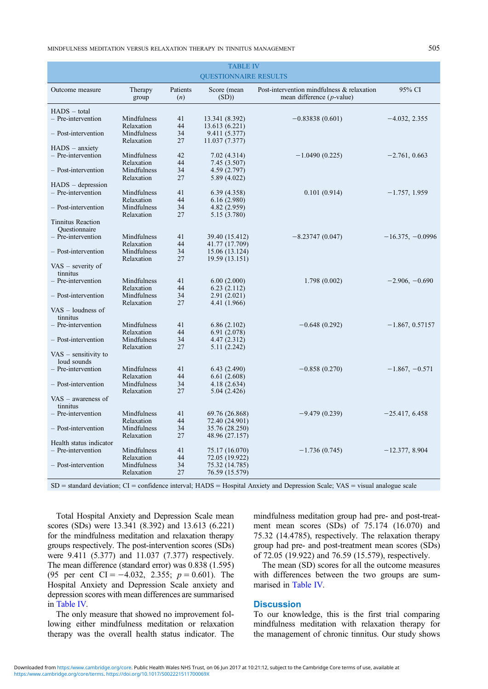<span id="page-4-0"></span>MINDFULNESS MEDITATION VERSUS RELAXATION THERAPY IN TINNITUS MANAGEMENT 505

| <b>TABLE IV</b><br><b>OUESTIONNAIRE RESULTS</b> |                           |                 |                                  |                                                                            |                    |  |  |
|-------------------------------------------------|---------------------------|-----------------|----------------------------------|----------------------------------------------------------------------------|--------------------|--|--|
|                                                 |                           |                 |                                  |                                                                            |                    |  |  |
| Outcome measure                                 | Therapy<br>group          | Patients<br>(n) | Score (mean<br>(SD)              | Post-intervention mindfulness & relaxation<br>mean difference $(p$ -value) | 95% CI             |  |  |
| $HADS - total$                                  |                           |                 |                                  |                                                                            |                    |  |  |
| $-$ Pre-intervention                            | Mindfulness<br>Relaxation | 41<br>44        | 13.341 (8.392)<br>13.613 (6.221) | $-0.83838(0.601)$                                                          | $-4.032, 2.355$    |  |  |
| - Post-intervention                             | Mindfulness<br>Relaxation | 34<br>27        | 9.411 (5.377)<br>11.037 (7.377)  |                                                                            |                    |  |  |
| $HADS - anxiety$                                |                           |                 |                                  |                                                                            |                    |  |  |
| - Pre-intervention                              | Mindfulness<br>Relaxation | 42<br>44        | 7.02(4.314)<br>7.45 (3.507)      | $-1.0490(0.225)$                                                           | $-2.761, 0.663$    |  |  |
| $-$ Post-intervention                           | Mindfulness               | 34              | 4.59 (2.797)                     |                                                                            |                    |  |  |
|                                                 | Relaxation                | 27              | 5.89 (4.022)                     |                                                                            |                    |  |  |
| $HADS - depression$<br>- Pre-intervention       | Mindfulness               | 41              | 6.39(4.358)                      | 0.101(0.914)                                                               | $-1.757, 1.959$    |  |  |
|                                                 | Relaxation                | 44              | 6.16(2.980)                      |                                                                            |                    |  |  |
| - Post-intervention                             | Mindfulness               | 34              | 4.82 (2.959)                     |                                                                            |                    |  |  |
| <b>Tinnitus Reaction</b>                        | Relaxation                | 27              | 5.15 (3.780)                     |                                                                            |                    |  |  |
| Ouestionnaire                                   |                           |                 |                                  |                                                                            |                    |  |  |
| - Pre-intervention                              | Mindfulness               | 41              | 39.40 (15.412)                   | $-8.23747(0.047)$                                                          | $-16.375, -0.0996$ |  |  |
|                                                 | Relaxation                | 44              | 41.77 (17.709)                   |                                                                            |                    |  |  |
| - Post-intervention                             | Mindfulness<br>Relaxation | 34<br>27        | 15.06 (13.124)<br>19.59 (13.151) |                                                                            |                    |  |  |
| $VAS$ – severity of<br>tinnitus                 |                           |                 |                                  |                                                                            |                    |  |  |
| $-$ Pre-intervention                            | Mindfulness               | 41              | 6.00(2.000)                      | 1.798(0.002)                                                               | $-2.906, -0.690$   |  |  |
|                                                 | Relaxation                | 44              | 6.23(2.112)                      |                                                                            |                    |  |  |
| - Post-intervention                             | Mindfulness<br>Relaxation | 34<br>27        | 2.91(2.021)<br>4.41 (1.966)      |                                                                            |                    |  |  |
| $VAS - loudness$ of<br>tinnitus                 |                           |                 |                                  |                                                                            |                    |  |  |
| $-$ Pre-intervention                            | Mindfulness               | 41              | 6.86(2.102)                      | $-0.648(0.292)$                                                            | $-1.867, 0.57157$  |  |  |
| - Post-intervention                             | Relaxation<br>Mindfulness | 44<br>34        | 6.91(2.078)<br>4.47 (2.312)      |                                                                            |                    |  |  |
|                                                 | Relaxation                | 27              | 5.11 (2.242)                     |                                                                            |                    |  |  |
| $VAS$ – sensitivity to<br>loud sounds           |                           |                 |                                  |                                                                            |                    |  |  |
| $-$ Pre-intervention                            | Mindfulness               | 41              | 6.43(2.490)                      | $-0.858(0.270)$                                                            | $-1.867, -0.571$   |  |  |
| $-$ Post-intervention                           | Relaxation<br>Mindfulness | 44<br>34        | 6.61(2.608)<br>4.18 (2.634)      |                                                                            |                    |  |  |
|                                                 | Relaxation                | 27              | 5.04 (2.426)                     |                                                                            |                    |  |  |
| $VAS$ – awareness of<br>tinnitus                |                           |                 |                                  |                                                                            |                    |  |  |
| $-$ Pre-intervention                            | Mindfulness               | 41              | 69.76 (26.868)                   | $-9.479(0.239)$                                                            | $-25.417, 6.458$   |  |  |
| $-$ Post-intervention                           | Relaxation<br>Mindfulness | 44<br>34        | 72.40 (24.901)                   |                                                                            |                    |  |  |
|                                                 | Relaxation                | 27              | 35.76 (28.250)<br>48.96 (27.157) |                                                                            |                    |  |  |
| Health status indicator                         |                           |                 |                                  |                                                                            |                    |  |  |
| $-$ Pre-intervention                            | Mindfulness               | 41              | 75.17 (16.070)                   | $-1.736(0.745)$                                                            | $-12.377, 8.904$   |  |  |
| - Post-intervention                             | Relaxation<br>Mindfulness | 44<br>34        | 72.05 (19.922)                   |                                                                            |                    |  |  |
|                                                 | Relaxation                | 27              | 75.32 (14.785)<br>76.59 (15.579) |                                                                            |                    |  |  |
|                                                 |                           |                 |                                  |                                                                            |                    |  |  |

SD = standard deviation; CI = confidence interval; HADS = Hospital Anxiety and Depression Scale; VAS = visual analogue scale

Total Hospital Anxiety and Depression Scale mean scores (SDs) were 13.341 (8.392) and 13.613 (6.221) for the mindfulness meditation and relaxation therapy groups respectively. The post-intervention scores (SDs) were 9.411 (5.377) and 11.037 (7.377) respectively. The mean difference (standard error) was 0.838 (1.595) (95 per cent CI =  $-4.032$ , 2.355;  $p = 0.601$ ). The Hospital Anxiety and Depression Scale anxiety and depression scores with mean differences are summarised in Table IV.

The only measure that showed no improvement following either mindfulness meditation or relaxation therapy was the overall health status indicator. The

mindfulness meditation group had pre- and post-treatment mean scores (SDs) of 75.174 (16.070) and 75.32 (14.4785), respectively. The relaxation therapy group had pre- and post-treatment mean scores (SDs) of 72.05 (19.922) and 76.59 (15.579), respectively.

The mean (SD) scores for all the outcome measures with differences between the two groups are summarised in Table IV.

## **Discussion**

To our knowledge, this is the first trial comparing mindfulness meditation with relaxation therapy for the management of chronic tinnitus. Our study shows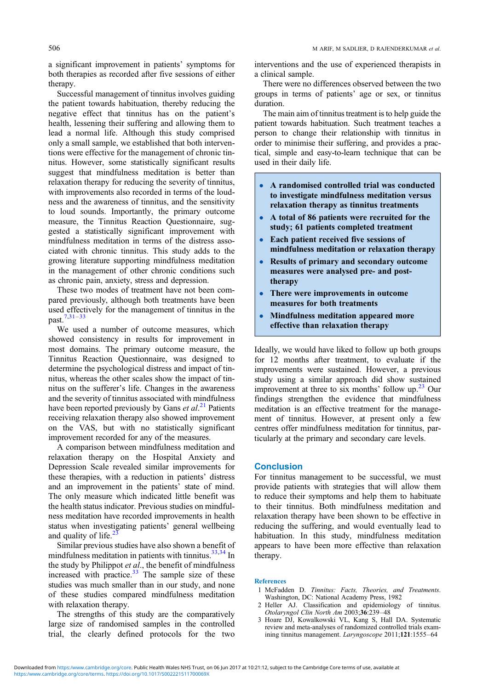<span id="page-5-0"></span>a significant improvement in patients' symptoms for both therapies as recorded after five sessions of either therapy.

Successful management of tinnitus involves guiding the patient towards habituation, thereby reducing the negative effect that tinnitus has on the patient's health, lessening their suffering and allowing them to lead a normal life. Although this study comprised only a small sample, we established that both interventions were effective for the management of chronic tinnitus. However, some statistically significant results suggest that mindfulness meditation is better than relaxation therapy for reducing the severity of tinnitus, with improvements also recorded in terms of the loudness and the awareness of tinnitus, and the sensitivity to loud sounds. Importantly, the primary outcome measure, the Tinnitus Reaction Questionnaire, suggested a statistically significant improvement with mindfulness meditation in terms of the distress associated with chronic tinnitus. This study adds to the growing literature supporting mindfulness meditation in the management of other chronic conditions such as chronic pain, anxiety, stress and depression.

These two modes of treatment have not been compared previously, although both treatments have been used effectively for the management of tinnitus in the past.[7,31](#page-6-0)–[33](#page-6-0)

We used a number of outcome measures, which showed consistency in results for improvement in most domains. The primary outcome measure, the Tinnitus Reaction Questionnaire, was designed to determine the psychological distress and impact of tinnitus, whereas the other scales show the impact of tinnitus on the sufferer's life. Changes in the awareness and the severity of tinnitus associated with mindfulness have been reported previously by Gans et al.<sup>[21](#page-6-0)</sup> Patients receiving relaxation therapy also showed improvement on the VAS, but with no statistically significant improvement recorded for any of the measures.

A comparison between mindfulness meditation and relaxation therapy on the Hospital Anxiety and Depression Scale revealed similar improvements for these therapies, with a reduction in patients' distress and an improvement in the patients' state of mind. The only measure which indicated little benefit was the health status indicator. Previous studies on mindfulness meditation have recorded improvements in health status when investigating patients' general wellbeing and quality of life.<sup>2</sup>

Similar previous studies have also shown a benefit of mindfulness meditation in patients with tinnitus.<sup>[33,34](#page-6-0)</sup> In the study by Philippot et al., the benefit of mindfulness increased with practice. $33$  The sample size of these studies was much smaller than in our study, and none of these studies compared mindfulness meditation with relaxation therapy.

The strengths of this study are the comparatively large size of randomised samples in the controlled trial, the clearly defined protocols for the two

interventions and the use of experienced therapists in a clinical sample.

There were no differences observed between the two groups in terms of patients' age or sex, or tinnitus duration.

The main aim of tinnitus treatment is to help guide the patient towards habituation. Such treatment teaches a person to change their relationship with tinnitus in order to minimise their suffering, and provides a practical, simple and easy-to-learn technique that can be used in their daily life.

- A randomised controlled trial was conducted to investigate mindfulness meditation versus relaxation therapy as tinnitus treatments
- A total of 86 patients were recruited for the study; 61 patients completed treatment
- Each patient received five sessions of mindfulness meditation or relaxation therapy
- Results of primary and secondary outcome measures were analysed pre- and posttherapy
- There were improvements in outcome measures for both treatments
- Mindfulness meditation appeared more effective than relaxation therapy

Ideally, we would have liked to follow up both groups for 12 months after treatment, to evaluate if the improvements were sustained. However, a previous study using a similar approach did show sustained improvement at three to six months' follow up. $^{23}$  $^{23}$  $^{23}$  Our findings strengthen the evidence that mindfulness meditation is an effective treatment for the management of tinnitus. However, at present only a few centres offer mindfulness meditation for tinnitus, particularly at the primary and secondary care levels.

## **Conclusion**

For tinnitus management to be successful, we must provide patients with strategies that will allow them to reduce their symptoms and help them to habituate to their tinnitus. Both mindfulness meditation and relaxation therapy have been shown to be effective in reducing the suffering, and would eventually lead to habituation. In this study, mindfulness meditation appears to have been more effective than relaxation therapy.

#### References

- 1 McFadden D. Tinnitus: Facts, Theories, and Treatments. Washington, DC: National Academy Press, 1982
- 2 Heller AJ. Classification and epidemiology of tinnitus. Otolaryngol Clin North Am 2003;36:239–48
- 3 Hoare DJ, Kowalkowski VL, Kang S, Hall DA. Systematic review and meta-analyses of randomized controlled trials examining tinnitus management. Laryngoscope 2011;121:1555–64